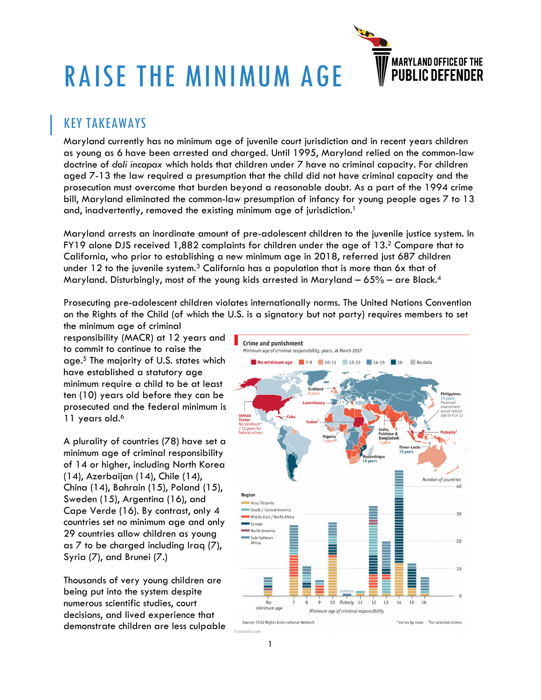

# RAISE THE MINIMUM AGE

## KEY TAKEAWAYS

Maryland currently has no minimum age of juvenile court jurisdiction and in recent years children as young as 6 have been arrested and charged. Until 1995, Maryland relied on the common-law doctrine of *doli incapax* which holds that children under 7 have no criminal capacity. For children aged 7-13 the law required a presumption that the child did not have criminal capacity and the prosecution must overcome that burden beyond a reasonable doubt. As a part of the 1994 crime bill, Maryland eliminated the common-law presumption of infancy for young people ages 7 to 13 and, inadvertently, removed the existing minimum age of jurisdiction. 1

Maryland arrests an inordinate amount of pre-adolescent children to the juvenile justice system. In FY19 alone DJS received 1,882 complaints for children under the age of 13. <sup>2</sup> Compare that to California, who prior to establishing a new minimum age in 2018, referred just 687 children under 12 to the juvenile system. $^3$  California has a population that is more than 6x that of Maryland. Disturbingly, most of the young kids arrested in Maryland – 65% – are Black. $^4$ 

Prosecuting pre-adolescent children violates internationally norms. The United Nations Convention on the Rights of the Child (of which the U.S. is a signatory but not party) requires members to set

the minimum age of criminal responsibility (MACR) at 12 years and to commit to continue to raise the age.5 The majority of U.S. states which have established a statutory age minimum require a child to be at least ten (10) years old before they can be prosecuted and the federal minimum is 11 years old.<sup>6</sup>

A plurality of countries (78) have set a minimum age of criminal responsibility of 14 or higher, including North Korea (14), Azerbaijan (14), Chile (14), China (14), Bahrain (15), Poland (15), Sweden (15), Argentina (16), and Cape Verde (16). By contrast, only 4 countries set no minimum age and only 29 countries allow children as young as 7 to be charged including Iraq (7), Syria (7), and Brunei (7.)

Thousands of very young children are being put into the system despite numerous scientific studies, court decisions, and lived experience that demonstrate children are less culpable

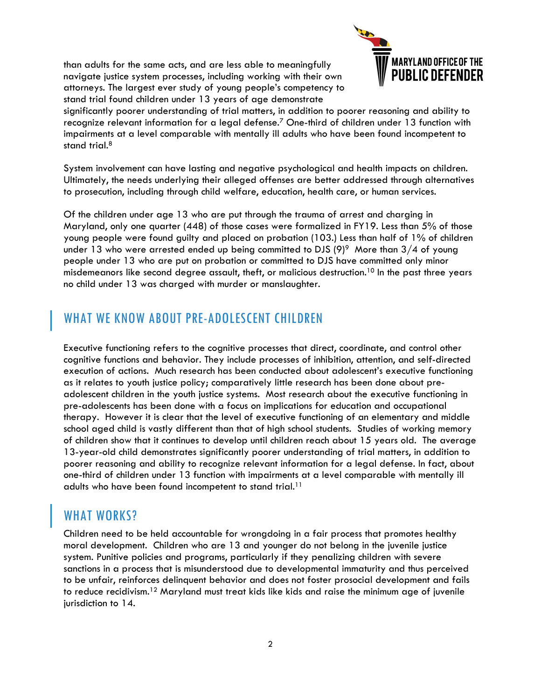than adults for the same acts, and are less able to meaningfully navigate justice system processes, including working with their own attorneys. The largest ever study of young people's competency to stand trial found children under 13 years of age demonstrate



significantly poorer understanding of trial matters, in addition to poorer reasoning and ability to recognize relevant information for a legal defense.7 One-third of children under 13 function with impairments at a level comparable with mentally ill adults who have been found incompetent to stand trial.<sup>8</sup>

System involvement can have lasting and negative psychological and health impacts on children. Ultimately, the needs underlying their alleged offenses are better addressed through alternatives to prosecution, including through child welfare, education, health care, or human services.

Of the children under age 13 who are put through the trauma of arrest and charging in Maryland, only one quarter (448) of those cases were formalized in FY19. Less than 5% of those young people were found guilty and placed on probation (103.) Less than half of 1% of children under 13 who were arrested ended up being committed to DJS  $(9)^9$  More than  $3/4$  of young people under 13 who are put on probation or committed to DJS have committed only minor misdemeanors like second degree assault, theft, or malicious destruction. <sup>10</sup> In the past three years no child under 13 was charged with murder or manslaughter.

### WHAT WE KNOW ABOUT PRE-ADOLESCENT CHILDREN

Executive functioning refers to the cognitive processes that direct, coordinate, and control other cognitive functions and behavior. They include processes of inhibition, attention, and self-directed execution of actions. Much research has been conducted about adolescent's executive functioning as it relates to youth justice policy; comparatively little research has been done about preadolescent children in the youth justice systems. Most research about the executive functioning in pre-adolescents has been done with a focus on implications for education and occupational therapy. However it is clear that the level of executive functioning of an elementary and middle school aged child is vastly different than that of high school students. Studies of working memory of children show that it continues to develop until children reach about 15 years old. The average 13-year-old child demonstrates significantly poorer understanding of trial matters, in addition to poorer reasoning and ability to recognize relevant information for a legal defense. In fact, about one-third of children under 13 function with impairments at a level comparable with mentally ill adults who have been found incompetent to stand trial.<sup>11</sup>

## WHAT WORKS?

Children need to be held accountable for wrongdoing in a fair process that promotes healthy moral development. Children who are 13 and younger do not belong in the juvenile justice system. Punitive policies and programs, particularly if they penalizing children with severe sanctions in a process that is misunderstood due to developmental immaturity and thus perceived to be unfair, reinforces delinquent behavior and does not foster prosocial development and fails to reduce recidivism.<sup>12</sup> Maryland must treat kids like kids and raise the minimum age of juvenile jurisdiction to 14.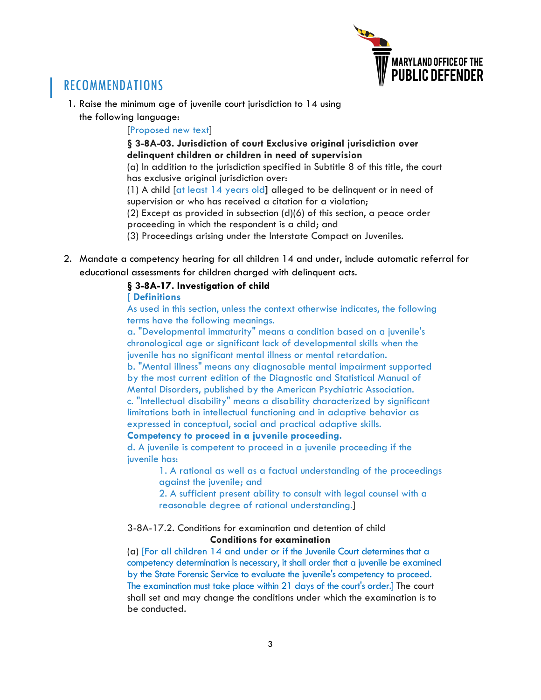

## RECOMMENDATIONS

- 1. Raise the minimum age of juvenile court jurisdiction to 14 using
	- the following language:

[Proposed new text]

**§ 3-8A-03. Jurisdiction of court Exclusive original jurisdiction over delinquent children or children in need of supervision**

(a) In addition to the jurisdiction specified in Subtitle 8 of this title, the court has exclusive original jurisdiction over:

(1) A child [at least 14 years old**]** alleged to be delinquent or in need of supervision or who has received a citation for a violation;

(2) Except as provided in subsection (d)(6) of this section, a peace order proceeding in which the respondent is a child; and

(3) Proceedings arising under the Interstate Compact on Juveniles.

2. Mandate a competency hearing for all children 14 and under, include automatic referral for educational assessments for children charged with delinquent acts.

#### **§ 3-8A-17. Investigation of child**

#### **[ Definitions**

As used in this section, unless the context otherwise indicates, the following terms have the following meanings.

a. "Developmental immaturity" means a condition based on a juvenile's chronological age or significant lack of developmental skills when the juvenile has no significant mental illness or mental retardation.

b. "Mental illness" means any diagnosable mental impairment supported by the most current edition of the Diagnostic and Statistical Manual of Mental Disorders, published by the American Psychiatric Association. c. "Intellectual disability" means a disability characterized by significant limitations both in intellectual functioning and in adaptive behavior as

expressed in conceptual, social and practical adaptive skills.

#### **Competency to proceed in a juvenile proceeding.**

d. A juvenile is competent to proceed in a juvenile proceeding if the juvenile has:

> 1. A rational as well as a factual understanding of the proceedings against the juvenile; and

2. A sufficient present ability to consult with legal counsel with a reasonable degree of rational understanding.]

#### 3-8A-17.2. Conditions for examination and detention of child **Conditions for examination**

(a) [For all children 14 and under or if the Juvenile Court determines that a competency determination is necessary, it shall order that a juvenile be examined by the State Forensic Service to evaluate the juvenile's competency to proceed. The examination must take place within 21 days of the court's order.] The court shall set and may change the conditions under which the examination is to be conducted.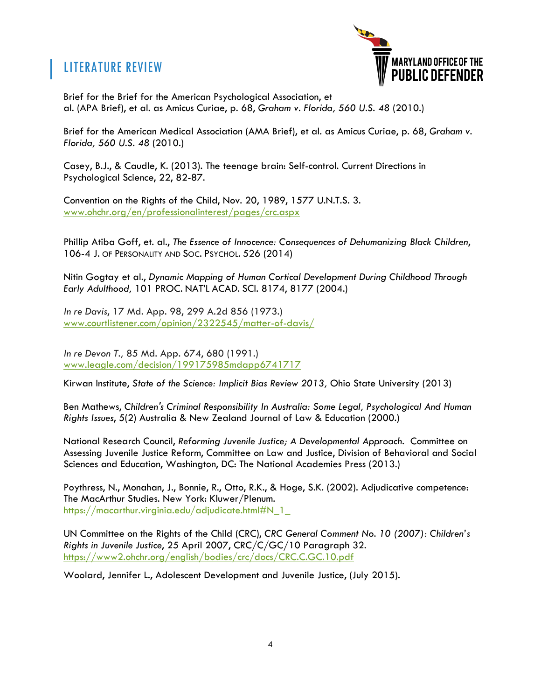## LITERATURE REVIEW



Brief for the Brief for the American Psychological Association, et al. (APA Brief), et al. as Amicus Curiae, p. 68, *Graham v. Florida, 560 U.S. 48* (2010.)

Brief for the American Medical Association (AMA Brief), et al. as Amicus Curiae, p. 68, *Graham v. Florida, 560 U.S. 48* (2010.)

Casey, B.J., & Caudle, K. (2013). The teenage brain: Self-control. Current Directions in Psychological Science, 22, 82-87.

Convention on the Rights of the Child, Nov. 20, 1989, 1577 U.N.T.S. 3. www.ohchr.org/en/professionalinterest/pages/crc.aspx

Phillip Atiba Goff, et. al., *The Essence of Innocence: Consequences of Dehumanizing Black Children*, 106-4 J. OF PERSONALITY AND SOC. PSYCHOL. 526 (2014)

Nitin Gogtay et al., *Dynamic Mapping of Human Cortical Development During Childhood Through Early Adulthood,* 101 PROC. NAT'L ACAD. SCI. 8174, 8177 (2004.)

*In re Davis*, 17 Md. App. 98, 299 A.2d 856 (1973.) www.courtlistener.com/opinion/2322545/matter-of-davis/

*In re Devon T.,* 85 Md. App. 674, 680 (1991.) www.leagle.com/decision/199175985mdapp6741717

Kirwan Institute, *State of the Science: Implicit Bias Review 2013,* Ohio State University (2013)

Ben Mathews, *Children's Criminal Responsibility In Australia: Some Legal, Psychological And Human Rights Issues*, 5(2) Australia & New Zealand Journal of Law & Education (2000.)

National Research Council, *Reforming Juvenile Justice; A Developmental Approach*. Committee on Assessing Juvenile Justice Reform, Committee on Law and Justice, Division of Behavioral and Social Sciences and Education, Washington, DC: The National Academies Press (2013.)

Poythress, N., Monahan, J., Bonnie, R., Otto, R.K., & Hoge, S.K. (2002). Adjudicative competence: The MacArthur Studies. New York: Kluwer/Plenum. https://macarthur.virginia.edu/adjudicate.html#N\_1\_

UN Committee on the Rights of the Child (CRC), *CRC General Comment No. 10 (2007): Children's Rights in Juvenile Justice*, 25 April 2007, CRC/C/GC/10 Paragraph 32. https://www2.ohchr.org/english/bodies/crc/docs/CRC.C.GC.10.pdf

Woolard, Jennifer L., Adolescent Development and Juvenile Justice, (July 2015).